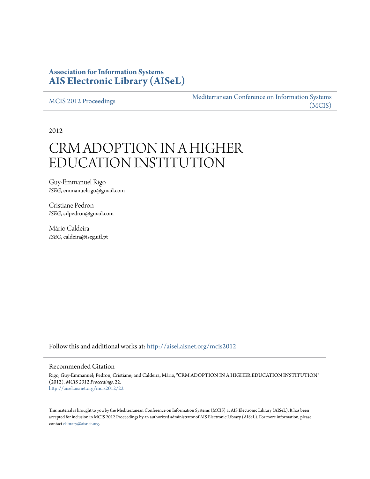### **Association for Information Systems [AIS Electronic Library \(AISeL\)](http://aisel.aisnet.org?utm_source=aisel.aisnet.org%2Fmcis2012%2F22&utm_medium=PDF&utm_campaign=PDFCoverPages)**

[MCIS 2012 Proceedings](http://aisel.aisnet.org/mcis2012?utm_source=aisel.aisnet.org%2Fmcis2012%2F22&utm_medium=PDF&utm_campaign=PDFCoverPages)

[Mediterranean Conference on Information Systems](http://aisel.aisnet.org/mcis?utm_source=aisel.aisnet.org%2Fmcis2012%2F22&utm_medium=PDF&utm_campaign=PDFCoverPages) [\(MCIS\)](http://aisel.aisnet.org/mcis?utm_source=aisel.aisnet.org%2Fmcis2012%2F22&utm_medium=PDF&utm_campaign=PDFCoverPages)

2012

# CRM ADOPTION IN A HIGHER EDUCATION INSTITUTION

Guy-Emmanuel Rigo *ISEG*, emmanuelrigo@gmail.com

Cristiane Pedron *ISEG*, cdpedron@gmail.com

Mário Caldeira *ISEG*, caldeira@iseg.utl.pt

Follow this and additional works at: [http://aisel.aisnet.org/mcis2012](http://aisel.aisnet.org/mcis2012?utm_source=aisel.aisnet.org%2Fmcis2012%2F22&utm_medium=PDF&utm_campaign=PDFCoverPages)

#### Recommended Citation

Rigo, Guy-Emmanuel; Pedron, Cristiane; and Caldeira, Mário, "CRM ADOPTION IN A HIGHER EDUCATION INSTITUTION" (2012). *MCIS 2012 Proceedings*. 22. [http://aisel.aisnet.org/mcis2012/22](http://aisel.aisnet.org/mcis2012/22?utm_source=aisel.aisnet.org%2Fmcis2012%2F22&utm_medium=PDF&utm_campaign=PDFCoverPages)

This material is brought to you by the Mediterranean Conference on Information Systems (MCIS) at AIS Electronic Library (AISeL). It has been accepted for inclusion in MCIS 2012 Proceedings by an authorized administrator of AIS Electronic Library (AISeL). For more information, please contact [elibrary@aisnet.org.](mailto:elibrary@aisnet.org%3E)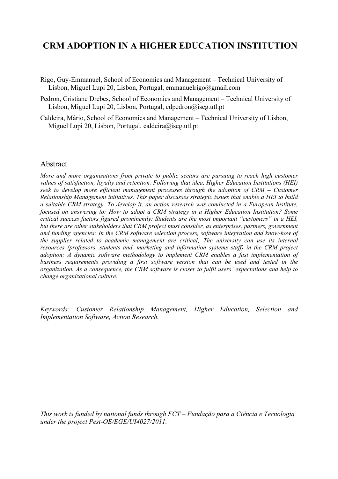## **CRM ADOPTION IN A HIGHER EDUCATION INSTITUTION**

- Rigo, Guy-Emmanuel, School of Economics and Management Technical University of Lisbon, Miguel Lupi 20, Lisbon, Portugal, emmanuelrigo@gmail.com
- Pedron, Cristiane Drebes, School of Economics and Management Technical University of Lisbon, Miguel Lupi 20, Lisbon, Portugal, cdpedron@iseg.utl.pt
- Caldeira, Mário, School of Economics and Management Technical University of Lisbon, Miguel Lupi 20, Lisbon, Portugal, caldeira@iseg.utl.pt

#### Abstract

*More and more organisations from private to public sectors are pursuing to reach high customer values of satisfaction, loyalty and retention. Following that idea, Higher Education Institutions (HEI) seek to develop more efficient management processes through the adoption of CRM – Customer Relationship Management initiatives. This paper discusses strategic issues that enable a HEI to build a suitable CRM strategy. To develop it, an action research was conducted in a European Institute, focused on answering to: How to adopt a CRM strategy in a Higher Education Institution? Some critical success factors figured prominently: Students are the most important "customers" in a HEI, but there are other stakeholders that CRM project must consider, as enterprises, partners, government and funding agencies; In the CRM software selection process, software integration and know-how of the supplier related to academic management are critical; The university can use its internal resources (professors, students and, marketing and information systems staff) in the CRM project adoption; A dynamic software methodology to implement CRM enables a fast implementation of business requirements providing a first software version that can be used and tested in the organization. As a consequence, the CRM software is closer to fulfil users' expectations and help to change organizational culture.* 

*Keywords: Customer Relationship Management, Higher Education, Selection and Implementation Software, Action Research.* 

*This work is funded by national funds through FCT – Fundação para a Ciência e Tecnologia under the project Pest-OE/EGE/UI4027/2011.*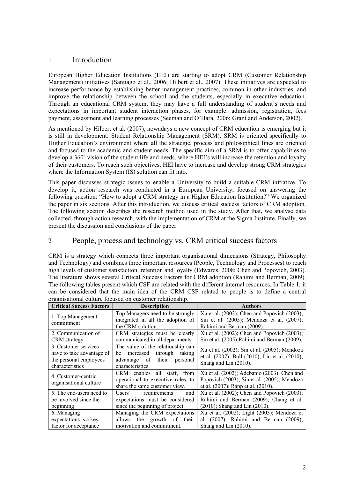#### 1 Introduction

European Higher Education Institutions (HEI) are starting to adopt CRM (Customer Relationship Management) initiatives (Santiago et al., 2006; Hilbert et al., 2007). These initiatives are expected to increase performance by establishing better management practices, common in other industries, and improve the relationship between the school and the students, especially in executive education. Through an educational CRM system, they may have a full understanding of student's needs and expectations in important student interaction phases, for example: admission, registration, fees payment, assessment and learning processes (Seeman and O'Hara, 2006; Grant and Anderson, 2002).

As mentioned by Hilbert et al. (2007), nowadays a new concept of CRM education is emerging but it is still in development: Student Relationship Management (SRM). SRM is oriented specifically to Higher Education's environment where all the strategic, process and philosophical lines are oriented and focused to the academic and student needs. The specific aim of a SRM is to offer capabilities to develop a 360º vision of the student life and needs, where HEI's will increase the retention and loyalty of their customers. To reach such objectives, HEI have to increase and develop strong CRM strategies where the Information System (IS) solution can fit into.

This paper discusses strategic issues to enable a University to build a suitable CRM initiative. To develop it, action research was conducted in a European University, focused on answering the following question: "How to adopt a CRM strategy in a Higher Education Institution?" We organized the paper in six sections. After this introduction, we discuss critical success factors of CRM adoption. The following section describes the research method used in the study. After that, we analyse data collected, through action research, with the implementation of CRM at the Sigma Institute. Finally, we present the discussion and conclusions of the paper.

#### 2 People, process and technology vs. CRM critical success factors

CRM is a strategy which connects three important organisational dimensions (Strategy, Philosophy and Technology) and combines three important resources (People, Technology and Processes) to reach high levels of customer satisfaction, retention and loyalty (Edwards, 2008; Chen and Popovich, 2003). The literature shows several Critical Success Factors for CRM adoption (Rahimi and Berman, 2009). The following tables present which CSF are related with the different internal resources. In Table 1, it can be considered that the main idea of the CRM CSF related to people is to define a central organisational culture focused on customer relationship.

| <b>Critical Success Factors</b>                                                                 | <b>Description</b>                                                                                                                 | <b>Authors</b>                                                                                                                         |
|-------------------------------------------------------------------------------------------------|------------------------------------------------------------------------------------------------------------------------------------|----------------------------------------------------------------------------------------------------------------------------------------|
| 1. Top Management<br>commitment                                                                 | Top Managers need to be strongly<br>integrated in all the adoption of<br>the CRM solution.                                         | Xu et al. $(2002)$ ; Chen and Popovich $(2003)$ ;<br>Sin et al. (2005); Mendoza et al. (2007);<br>Rahimi and Berman (2009).            |
| 2. Communication of<br><b>CRM</b> strategy                                                      | CRM strategies must be clearly<br>communicated in all departments.                                                                 | Xu et al. (2002); Chen and Popovich (2003);<br>Sin et al. (2005); Rahimi and Berman (2009).                                            |
| 3. Customer services<br>have to take advantage of<br>the personal employees'<br>characteristics | The value of the relationship can<br>through<br>increased<br>taking<br>be<br>their<br>advantage of<br>personal<br>characteristics. | Xu et al. (2002); Sin et al. (2005); Mendoza<br>et al. (2007); Bull (2010); Lin et al. (2010);<br>Shang and Lin (2010).                |
| 4. Customer-centric<br>organisational culture                                                   | CRM enables all staff, from<br>operational to executive roles, to<br>share the same customer view.                                 | Xu et al. $(2002)$ ; Adebanjo $(2003)$ ; Chen and<br>Popovich (2003); Sin et al. (2005); Mendoza<br>et al. (2007); Rapp et al. (2010). |
| 5. The end-users need to<br>be involved since the<br>beginning                                  | Users' requirements<br>and<br>expectations must be considered<br>since the beginning of project.                                   | Xu et al. (2002); Chen and Popovich (2003);<br>Rahimi and Berman (2009); Chang et al.<br>$(2010)$ ; Shang and Lin $(2010)$ .           |
| 6. Managing<br>expectations is a key<br>factor for acceptance                                   | Managing the CRM expectations<br>the growth of their<br>allows<br>motivation and commitment.                                       | Xu et al. (2002); Light (2003); Mendoza et<br>al. (2007); Rahimi and Berman (2009);<br>Shang and Lin (2010).                           |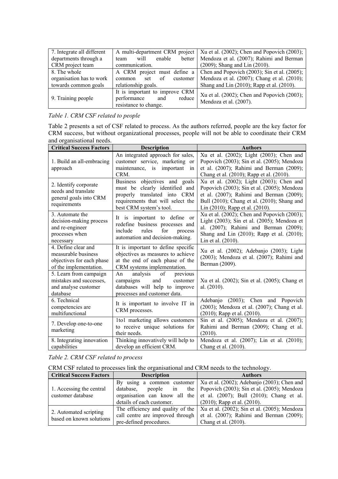| 7. Integrate all different | A multi-department CRM project                                                          | Xu et al. $(2002)$ ; Chen and Popovich $(2003)$ ;                     |
|----------------------------|-----------------------------------------------------------------------------------------|-----------------------------------------------------------------------|
| departments through a      | enable<br>better<br>will<br>team                                                        | Mendoza et al. (2007); Rahimi and Berman                              |
| CRM project team           | communication.                                                                          | (2009); Shang and Lin (2010).                                         |
| 8. The whole               | A CRM project must define a                                                             | Chen and Popovich $(2003)$ ; Sin et al. $(2005)$ ;                    |
| organisation has to work   | of<br>customer<br>common<br>set                                                         | Mendoza et al. (2007); Chang et al. (2010);                           |
| towards common goals       | relationship goals.                                                                     | Shang and Lin $(2010)$ ; Rapp et al. $(2010)$ .                       |
| 9. Training people         | It is important to improve CRM<br>performance<br>and<br>reduce<br>resistance to change. | Xu et al. (2002); Chen and Popovich (2003);<br>Mendoza et al. (2007). |

#### *Table 1. CRM CSF related to people*

Table 2 presents a set of CSF related to process. As the authors referred, people are the key factor for CRM success, but without organizational processes, people will not be able to coordinate their CRM and organisational needs.

| <b>Critical Success Factors</b>                                                                   | <b>Description</b>                                                                                                                                                    | <b>Authors</b>                                                                                                                                                                                                        |
|---------------------------------------------------------------------------------------------------|-----------------------------------------------------------------------------------------------------------------------------------------------------------------------|-----------------------------------------------------------------------------------------------------------------------------------------------------------------------------------------------------------------------|
| 1. Build an all-embracing<br>approach                                                             | An integrated approach for sales,<br>customer service, marketing or<br>maintenance, is important<br>in<br>CRM.                                                        | Xu et al. (2002); Light (2003); Chen and<br>Popovich (2003); Sin et al. (2005); Mendoza<br>et al. (2007); Rahimi and Berman (2009);<br>Chang et al. (2010); Rapp et al. (2010).                                       |
| 2. Identify corporate<br>needs and translate<br>general goals into CRM<br>requirements            | Business objectives and goals<br>clearly identified and<br>must be<br>translated into CRM<br>properly<br>requirements that will select the<br>best CRM system's tool. | Xu et al. (2002); Light (2003); Chen and<br>Popovich (2003); Sin et al. (2005); Mendoza<br>et al. (2007); Rahimi and Berman (2009);<br>Bull (2010); Chang et al. (2010); Shang and<br>Lin (2010); Rapp et al. (2010). |
| 3. Automate the<br>decision-making process<br>and re-engineer<br>processes when<br>necessary      | important to define or<br>It is<br>redefine business processes and<br>rules<br>include<br>for<br>process<br>automation and decision-making.                           | Xu et al. (2002); Chen and Popovich (2003);<br>Light (2003); Sin et al. (2005); Mendoza et<br>al. (2007); Rahimi and Berman (2009);<br>Shang and Lin (2010); Rapp et al. (2010);<br>Lin et al. (2010).                |
| 4. Define clear and<br>measurable business<br>objectives for each phase<br>of the implementation. | It is important to define specific<br>objectives as measures to achieve<br>at the end of each phase of the<br>CRM systems implementation.                             | Xu et al. (2002); Adebanjo (2003); Light<br>(2003); Mendoza et al. (2007); Rahimi and<br>Berman (2009).                                                                                                               |
| 5. Learn from campaign<br>mistakes and successes,<br>and analyse customer<br>database             | of<br>An<br>analysis<br>previous<br>customer<br>campaigns<br>and<br>databases will help to improve<br>processes and customer data.                                    | Xu et al. (2002); Sin et al. (2005); Chang et<br>al. (2010).                                                                                                                                                          |
| 6. Technical<br>competencies are<br>multifunctional                                               | It is important to involve IT in<br>CRM processes.                                                                                                                    | Adebanjo (2003); Chen and Popovich<br>(2003); Mendoza et al. (2007); Chang et al.<br>$(2010)$ ; Rapp et al. $(2010)$ .                                                                                                |
| 7. Develop one-to-one<br>marketing                                                                | 1to1 marketing allows customers<br>to receive unique solutions for<br>their needs.                                                                                    | Sin et al. (2005); Mendoza et al. (2007);<br>Rahimi and Berman (2009); Chang et al.<br>(2010).                                                                                                                        |
| 8. Integrating innovation<br>capabilities                                                         | Thinking innovatively will help to<br>develop an efficient CRM.                                                                                                       | Mendoza et al. (2007); Lin et al. (2010);<br>Chang et al. (2010).                                                                                                                                                     |

|  |  |  | Table 2. CRM CSF related to process |
|--|--|--|-------------------------------------|
|--|--|--|-------------------------------------|

CRM CSF related to processes link the organisational and CRM needs to the technology.

| <b>Critical Success Factors</b>                    | <b>Description</b>               | <b>Authors</b>                                                                                                                                                                                                |
|----------------------------------------------------|----------------------------------|---------------------------------------------------------------------------------------------------------------------------------------------------------------------------------------------------------------|
| 1. Accessing the central<br>customer database      | database,<br>people<br>$\sin$    | By using a common customer   Xu et al. (2002); Adebanjo (2003); Chen and<br>the   Popovich $(2003)$ ; Sin et al. $(2005)$ ; Mendoza<br>organisation can know all the et al. (2007); Bull (2010); Chang et al. |
|                                                    | details of each customer.        | $(2010)$ ; Rapp et al. $(2010)$ .                                                                                                                                                                             |
| 2. Automated scripting<br>based on known solutions | call centre are improved through | The efficiency and quality of the   Xu et al. $(2002)$ ; Sin et al. $(2005)$ ; Mendoza<br>et al. (2007); Rahimi and Berman (2009);                                                                            |
|                                                    | pre-defined procedures.          | Chang et al. (2010).                                                                                                                                                                                          |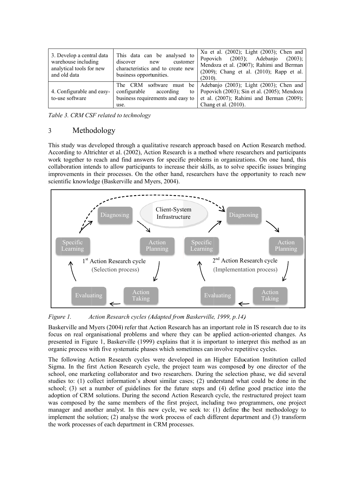| 3. Develop a central data<br>warehouse including<br>analytical tools for new<br>and old data | This data can be analysed to<br>discover<br>customer<br>new<br>characteristics and to create new<br>business opportunities. | Xu et al. (2002); Light (2003); Chen and<br>Popovich (2003); Adebanjo<br>$(2003)$ ;<br>Mendoza et al. (2007); Rahimi and Berman<br>$(2009)$ ; Chang et al. $(2010)$ ; Rapp et al.<br>(2010). |
|----------------------------------------------------------------------------------------------|-----------------------------------------------------------------------------------------------------------------------------|----------------------------------------------------------------------------------------------------------------------------------------------------------------------------------------------|
| 4. Configurable and easy-<br>to-use software                                                 | The CRM<br>configurable<br>according<br>business requirements and easy to<br>use.                                           | software must be Adebanjo (2003); Light (2003); Chen and<br>to   Popovich $(2003)$ ; Sin et al. $(2005)$ ; Mendoza<br>et al. (2007); Rahimi and Berman (2009);<br>Chang et al. (2010).       |

Table 3. CRM CSF related to technology

#### 3 Methodology

This study was developed through a qualitative research approach based on Action Research method. According to Altrichter et al. (2002), Action Research is a method where researchers and participants work together to reach and find answers for specific problems in organizations. On one hand, this collaboration intends to allow participants to increase their skills, as to solve specific issues bringing improvements in their processes. On the other hand, researchers have the opportunity to reach new scientific knowledge (Baskerville and Myers, 2004).



*Figure 1. A* Action Research cycles (Adapted from Baskerville, 1999, p.14)

Baskerville and Myers (2004) refer that Action Research has an important role in IS research due to its focus on real organisational problems and where they can be applied action-oriented changes. As presented in Figure 1, Baskerville (1999) explains that it is important to interpret this method as an organic process with five systematic phases which sometimes can involve repetitive cycles.

The following Action Research cycles were developed in an Higher Education Institution called Sigma. In the first Action Research cycle, the project team was composed by one director of the school, one marketing collaborator and two researchers. During the selection phase, we did several studies to: (1) collect information's about similar cases; (2) understand what could be done in the school; (3) set a number of guidelines for the future steps and (4) define good practice into the adoption of CRM solutions. During the second Action Research cycle, the restructured project team was composed by the same members of the first project, including two programmers, one project manager and another analyst. In this new cycle, we seek to: (1) define the best methodology to implement the solution; (2) analyse the work process of each different department and (3) transform the work processes of each department in CRM processes.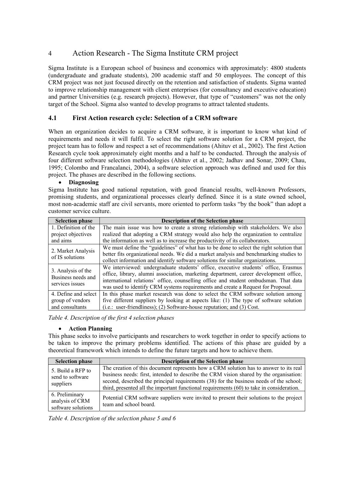### 4 Action Research - The Sigma Institute CRM project

Sigma Institute is a European school of business and economics with approximately: 4800 students (undergraduate and graduate students), 200 academic staff and 50 employees. The concept of this CRM project was not just focused directly on the retention and satisfaction of students. Sigma wanted to improve relationship management with client enterprises (for consultancy and executive education) and partner Universities (e.g. research projects). However, that type of "customers" was not the only target of the School. Sigma also wanted to develop programs to attract talented students.

#### **4.1 First Action research cycle: Selection of a CRM software**

When an organization decides to acquire a CRM software, it is important to know what kind of requirements and needs it will fulfil. To select the right software solution for a CRM project, the project team has to follow and respect a set of recommendations (Ahituv et al., 2002). The first Action Research cycle took approximately eight months and a half to be conducted. Through the analysis of four different software selection methodologies (Ahituv et al., 2002; Jadhav and Sonar, 2009; Chau, 1995; Colombo and Francalanci, 2004), a software selection approach was defined and used for this project. The phases are described in the following sections.

#### • **Diagnosing**

Sigma Institute has good national reputation, with good financial results, well-known Professors, promising students, and organizational processes clearly defined. Since it is a state owned school, most non-academic staff are civil servants, more oriented to perform tasks "by the book" than adopt a customer service culture.

| <b>Selection phase</b>                                      | <b>Description of the Selection phase</b>                                                                                                                                                                                                                                                                                                                |
|-------------------------------------------------------------|----------------------------------------------------------------------------------------------------------------------------------------------------------------------------------------------------------------------------------------------------------------------------------------------------------------------------------------------------------|
| 1. Definition of the                                        | The main issue was how to create a strong relationship with stakeholders. We also                                                                                                                                                                                                                                                                        |
| project objectives                                          | realized that adopting a CRM strategy would also help the organization to centralize                                                                                                                                                                                                                                                                     |
| and aims                                                    | the information as well as to increase the productivity of its collaborators.                                                                                                                                                                                                                                                                            |
| 2. Market Analysis<br>of IS solutions                       | We must define the "guidelines" of what has to be done to select the right solution that                                                                                                                                                                                                                                                                 |
|                                                             | better fits organizational needs. We did a market analysis and benchmarking studies to                                                                                                                                                                                                                                                                   |
|                                                             | collect information and identify software solutions for similar organizations.                                                                                                                                                                                                                                                                           |
| 3. Analysis of the<br>Business needs and<br>services issues | We interviewed: undergraduate students' office, executive students' office, Erasmus<br>office, library, alumni association, marketing department, career development office,<br>international relations' office, counselling office and student ombudsman. That data<br>was used to identify CRM systems requirements and create a Request for Proposal. |
| 4. Define and select                                        | In this phase market research was done to select the CRM software solution among                                                                                                                                                                                                                                                                         |
| group of vendors                                            | five different suppliers by looking at aspects like: (1) The type of software solution                                                                                                                                                                                                                                                                   |
| and consultants                                             | (i.e.: user-friendliness); (2) Software-house reputation; and (3) Cost.                                                                                                                                                                                                                                                                                  |

*Table 4. Description of the first 4 selection phases* 

#### • **Action Planning**

This phase seeks to involve participants and researchers to work together in order to specify actions to be taken to improve the primary problems identified. The actions of this phase are guided by a theoretical framework which intends to define the future targets and how to achieve them.

| <b>Selection phase</b> | <b>Description of the Selection phase</b>                                                 |
|------------------------|-------------------------------------------------------------------------------------------|
| 5. Build a RFP to      | The creation of this document represents how a CRM solution has to answer to its real     |
| send to software       | business needs: first, intended to describe the CRM vision shared by the organisation:    |
| suppliers              | second, described the principal requirements (38) for the business needs of the school;   |
| 6. Preliminary         | third, presented all the important functional requirements (60) to take in consideration. |
| analysis of CRM        | Potential CRM software suppliers were invited to present their solutions to the project   |
| software solutions     | team and school board.                                                                    |

*Table 4. Description of the selection phase 5 and 6*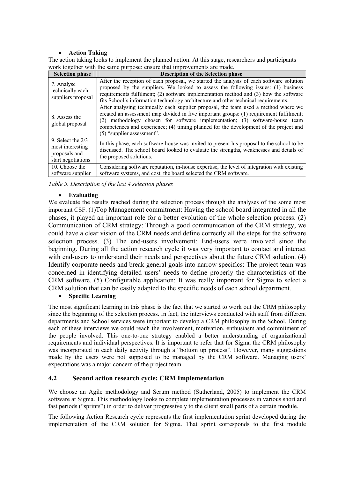#### • **Action Taking**

The action taking looks to implement the planned action. At this stage, researchers and participants work together with the same purpose: ensure that improvements are made.

| <b>Selection phase</b>                                                         | <b>Description of the Selection phase</b>                                                                                                                                                                                                                                                                                                                                            |
|--------------------------------------------------------------------------------|--------------------------------------------------------------------------------------------------------------------------------------------------------------------------------------------------------------------------------------------------------------------------------------------------------------------------------------------------------------------------------------|
| 7. Analyse<br>technically each<br>suppliers proposal                           | After the reception of each proposal, we started the analysis of each software solution<br>proposed by the suppliers. We looked to assess the following issues: (1) business<br>requirements fulfilment; (2) software implementation method and (3) how the software<br>fits School's information technology architecture and other technical requirements.                          |
| 8. Assess the<br>global proposal                                               | After analysing technically each supplier proposal, the team used a method where we<br>created an assessment map divided in five important groups: (1) requirement fulfilment;<br>(2) methodology chosen for software implementation; (3) software-house team<br>competences and experience; (4) timing planned for the development of the project and<br>(5) "supplier assessment". |
| 9. Select the $2/3$<br>most interesting<br>proposals and<br>start negotiations | In this phase, each software-house was invited to present his proposal to the school to be<br>discussed. The school board looked to evaluate the strengths, weaknesses and details of<br>the proposed solutions.                                                                                                                                                                     |
| 10. Choose the<br>software supplier                                            | Considering software reputation, in-house expertise, the level of integration with existing<br>software systems, and cost, the board selected the CRM software.                                                                                                                                                                                                                      |

*Table 5. Description of the last 4 selection phases* 

#### • **Evaluating**

We evaluate the results reached during the selection process through the analyses of the some most important CSF. (1)Top Management commitment: Having the school board integrated in all the phases, it played an important role for a better evolution of the whole selection process. (2) Communication of CRM strategy: Through a good communication of the CRM strategy, we could have a clear vision of the CRM needs and define correctly all the steps for the software selection process. (3) The end-users involvement: End-users were involved since the beginning. During all the action research cycle it was very important to contact and interact with end-users to understand their needs and perspectives about the future CRM solution. (4) Identify corporate needs and break general goals into narrow specifics: The project team was concerned in identifying detailed users' needs to define properly the characteristics of the CRM software. (5) Configurable application: It was really important for Sigma to select a CRM solution that can be easily adapted to the specific needs of each school department.

#### • **Specific Learning**

The most significant learning in this phase is the fact that we started to work out the CRM philosophy since the beginning of the selection process. In fact, the interviews conducted with staff from different departments and School services were important to develop a CRM philosophy in the School. During each of these interviews we could reach the involvement, motivation, enthusiasm and commitment of the people involved. This one-to-one strategy enabled a better understanding of organizational requirements and individual perspectives. It is important to refer that for Sigma the CRM philosophy was incorporated in each daily activity through a "bottom up process". However, many suggestions made by the users were not supposed to be managed by the CRM software. Managing users' expectations was a major concern of the project team.

#### **4.2 Second action research cycle: CRM Implementation**

We choose an Agile methodology and Scrum method (Sutherland, 2005) to implement the CRM software at Sigma. This methodology looks to complete implementation processes in various short and fast periods ("sprints") in order to deliver progressively to the client small parts of a certain module.

The following Action Research cycle represents the first implementation sprint developed during the implementation of the CRM solution for Sigma. That sprint corresponds to the first module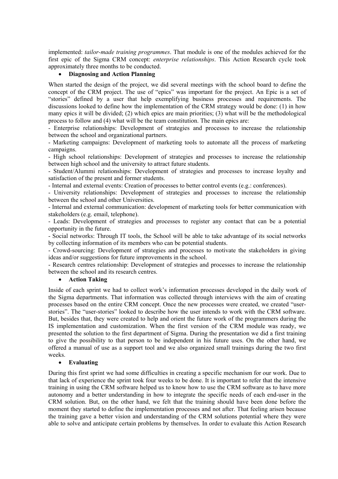implemented: *tailor-made training programmes*. That module is one of the modules achieved for the first epic of the Sigma CRM concept: *enterprise relationships*. This Action Research cycle took approximately three months to be conducted.

#### • **Diagnosing and Action Planning**

When started the design of the project, we did several meetings with the school board to define the concept of the CRM project. The use of "epics" was important for the project. An Epic is a set of "stories" defined by a user that help exemplifying business processes and requirements. The discussions looked to define how the implementation of the CRM strategy would be done: (1) in how many epics it will be divided; (2) which epics are main priorities; (3) what will be the methodological process to follow and (4) what will be the team constitution. The main epics are:

- Enterprise relationships: Development of strategies and processes to increase the relationship between the school and organizational partners.

- Marketing campaigns: Development of marketing tools to automate all the process of marketing campaigns.

- High school relationships: Development of strategies and processes to increase the relationship between high school and the university to attract future students.

- Student/Alummi relationships: Development of strategies and processes to increase loyalty and satisfaction of the present and former students.

- Internal and external events: Creation of processes to better control events (e.g.: conferences).

- University relationships: Development of strategies and processes to increase the relationship between the school and other Universities.

- Internal and external communication: development of marketing tools for better communication with stakeholders (e.g. email, telephone).

- Leads: Development of strategies and processes to register any contact that can be a potential opportunity in the future.

- Social networks: Through IT tools, the School will be able to take advantage of its social networks by collecting information of its members who can be potential students.

- Crowd-sourcing: Development of strategies and processes to motivate the stakeholders in giving ideas and/or suggestions for future improvements in the school.

- Research centres relationship: Development of strategies and processes to increase the relationship between the school and its research centres.

#### • **Action Taking**

Inside of each sprint we had to collect work's information processes developed in the daily work of the Sigma departments. That information was collected through interviews with the aim of creating processes based on the entire CRM concept. Once the new processes were created, we created "userstories". The "user-stories" looked to describe how the user intends to work with the CRM software. But, besides that, they were created to help and orient the future work of the programmers during the IS implementation and customization. When the first version of the CRM module was ready, we presented the solution to the first department of Sigma. During the presentation we did a first training to give the possibility to that person to be independent in his future uses. On the other hand, we offered a manual of use as a support tool and we also organized small trainings during the two first weeks.

#### • **Evaluating**

During this first sprint we had some difficulties in creating a specific mechanism for our work. Due to that lack of experience the sprint took four weeks to be done. It is important to refer that the intensive training in using the CRM software helped us to know how to use the CRM software as to have more autonomy and a better understanding in how to integrate the specific needs of each end-user in the CRM solution. But, on the other hand, we felt that the training should have been done before the moment they started to define the implementation processes and not after. That feeling arisen because the training gave a better vision and understanding of the CRM solutions potential where they were able to solve and anticipate certain problems by themselves. In order to evaluate this Action Research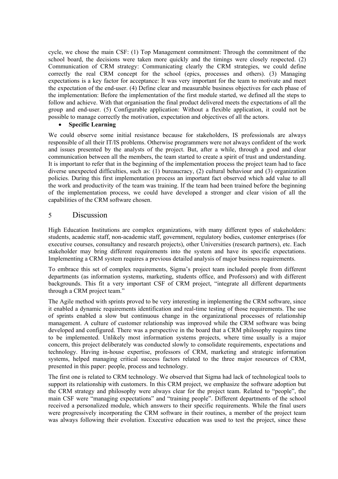cycle, we chose the main CSF: (1) Top Management commitment: Through the commitment of the school board, the decisions were taken more quickly and the timings were closely respected. (2) Communication of CRM strategy: Communicating clearly the CRM strategies, we could define correctly the real CRM concept for the school (epics, processes and others). (3) Managing expectations is a key factor for acceptance: It was very important for the team to motivate and meet the expectation of the end-user. (4) Define clear and measurable business objectives for each phase of the implementation: Before the implementation of the first module started, we defined all the steps to follow and achieve. With that organisation the final product delivered meets the expectations of all the group and end-user. (5) Configurable application: Without a flexible application, it could not be possible to manage correctly the motivation, expectation and objectives of all the actors.

#### • **Specific Learning**

We could observe some initial resistance because for stakeholders, IS professionals are always responsible of all their IT/IS problems. Otherwise programmers were not always confident of the work and issues presented by the analysts of the project. But, after a while, through a good and clear communication between all the members, the team started to create a spirit of trust and understanding. It is important to refer that in the beginning of the implementation process the project team had to face diverse unexpected difficulties, such as: (1) bureaucracy, (2) cultural behaviour and (3) organization policies. During this first implementation process an important fact observed which add value to all the work and productivity of the team was training. If the team had been trained before the beginning of the implementation process, we could have developed a stronger and clear vision of all the capabilities of the CRM software chosen.

#### 5 Discussion

High Education Institutions are complex organizations, with many different types of stakeholders: students, academic staff, non-academic staff, government, regulatory bodies, customer enterprises (for executive courses, consultancy and research projects), other Universities (research partners), etc. Each stakeholder may bring different requirements into the system and have its specific expectations. Implementing a CRM system requires a previous detailed analysis of major business requirements.

To embrace this set of complex requirements, Sigma's project team included people from different departments (as information systems, marketing, students office, and Professors) and with different backgrounds. This fit a very important CSF of CRM project, "integrate all different departments through a CRM project team."

The Agile method with sprints proved to be very interesting in implementing the CRM software, since it enabled a dynamic requirements identification and real-time testing of those requirements. The use of sprints enabled a slow but continuous change in the organizational processes of relationship management. A culture of customer relationship was improved while the CRM software was being developed and configured. There was a perspective in the board that a CRM philosophy requires time to be implemented. Unlikely most information systems projects, where time usually is a major concern, this project deliberately was conducted slowly to consolidate requirements, expectations and technology. Having in-house expertise, professors of CRM, marketing and strategic information systems, helped managing critical success factors related to the three major resources of CRM, presented in this paper: people, process and technology.

The first one is related to CRM technology. We observed that Sigma had lack of technological tools to support its relationship with customers. In this CRM project, we emphasize the software adoption but the CRM strategy and philosophy were always clear for the project team. Related to "people", the main CSF were "managing expectations" and "training people". Different departments of the school received a personalized module, which answers to their specific requirements. While the final users were progressively incorporating the CRM software in their routines, a member of the project team was always following their evolution. Executive education was used to test the project, since these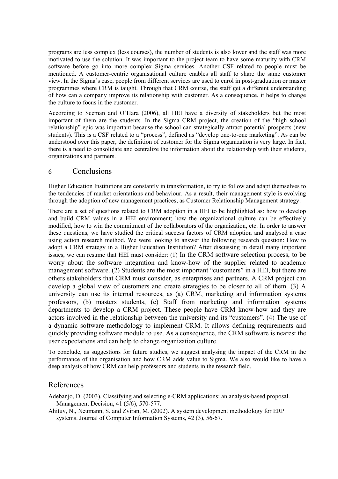programs are less complex (less courses), the number of students is also lower and the staff was more motivated to use the solution. It was important to the project team to have some maturity with CRM software before go into more complex Sigma services. Another CSF related to people must be mentioned. A customer-centric organisational culture enables all staff to share the same customer view. In the Sigma's case, people from different services are used to enrol in post-graduation or master programmes where CRM is taught. Through that CRM course, the staff get a different understanding of how can a company improve its relationship with customer. As a consequence, it helps to change the culture to focus in the customer.

According to Seeman and O'Hara (2006), all HEI have a diversity of stakeholders but the most important of them are the students. In the Sigma CRM project, the creation of the "high school relationship" epic was important because the school can strategically attract potential prospects (new students). This is a CSF related to a "process", defined as "develop one-to-one marketing". As can be understood over this paper, the definition of customer for the Sigma organization is very large. In fact, there is a need to consolidate and centralize the information about the relationship with their students, organizations and partners.

#### 6 Conclusions

Higher Education Institutions are constantly in transformation, to try to follow and adapt themselves to the tendencies of market orientations and behaviour. As a result, their management style is evolving through the adoption of new management practices, as Customer Relationship Management strategy.

There are a set of questions related to CRM adoption in a HEI to be highlighted as: how to develop and build CRM values in a HEI environment; how the organizational culture can be effectively modified, how to win the commitment of the collaborators of the organization, etc. In order to answer these questions, we have studied the critical success factors of CRM adoption and analysed a case using action research method. We were looking to answer the following research question: How to adopt a CRM strategy in a Higher Education Institution? After discussing in detail many important issues, we can resume that HEI must consider: (1) In the CRM software selection process, to be worry about the software integration and know-how of the supplier related to academic management software. (2) Students are the most important "customers" in a HEI, but there are others stakeholders that CRM must consider, as enterprises and partners. A CRM project can develop a global view of customers and create strategies to be closer to all of them. (3) A university can use its internal resources, as (a) CRM, marketing and information systems professors, (b) masters students, (c) Staff from marketing and information systems departments to develop a CRM project. These people have CRM know-how and they are actors involved in the relationship between the university and its "customers". (4) The use of a dynamic software methodology to implement CRM. It allows defining requirements and quickly providing software module to use. As a consequence, the CRM software is nearest the user expectations and can help to change organization culture.

To conclude, as suggestions for future studies, we suggest analysing the impact of the CRM in the performance of the organisation and how CRM adds value to Sigma. We also would like to have a deep analysis of how CRM can help professors and students in the research field.

#### References

Adebanjo, D. (2003). Classifying and selecting e-CRM applications: an analysis-based proposal. Management Decision, 41 (5/6), 570-577.

Ahituv, N., Neumann, S. and Zviran, M. (2002). A system development methodology for ERP systems. Journal of Computer Information Systems, 42 (3), 56-67.